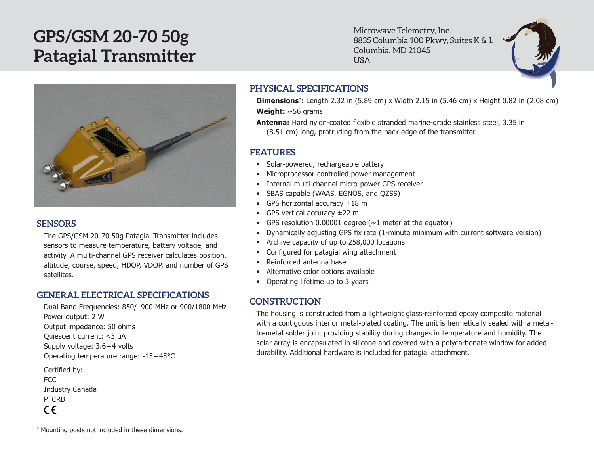# **GPS/GSM 20-70 50g Patagial Transmitter**

Microwave Telemetry, Inc. 8835 Columbia 100 Pkwy, Suites K & L Columbia, MD 21045 USA



## **SENSORS**

The GPS/GSM 20-70 50g Patagial Transmitter includes sensors to measure temperature, battery voltage, and activity. A multi-channel GPS receiver calculates position, altitude, course, speed, HDOP, VDOP, and number of GPS satellites.

## **GENERAL ELECTRICAL SPECIFICATIONS**

Dual Band Frequencies: 850/1900 MHz or 900/1800 MHz Power output: 2 W Output impedance: 50 ohms Quiescent current: <3 µA Supply voltage: 3.6 – 4 volts Operating temperature range: -15 – 45°C

Certified by: FCC Industry Canada PTCRB  $C \in$ 

## **PHYSICAL SPECIFICATIONS**

**Dimensions\*:** Length 2.32 in (5.89 cm) x Width 2.15 in (5.46 cm) x Height 0.82 in (2.08 cm) **Weight:** ~56 grams

**Antenna:** Hard nylon-coated flexible stranded marine-grade stainless steel, 3.35 in (8.51 cm) long, protruding from the back edge of the transmitter

## **FEATURES**

- Solar-powered, rechargeable battery
- Microprocessor-controlled power management
- Internal multi-channel micro-power GPS receiver
- • SBAS capable (WAAS, EGNOS, and QZSS)
- GPS horizontal accuracy  $\pm 18$  m
- • GPS vertical accuracy ±22 m
- GPS resolution 0.00001 degree  $(\sim 1$  meter at the equator)
- Dynamically adjusting GPS fix rate (1-minute minimum with current software version)
- Archive capacity of up to 258,000 locations
- Configured for patagial wing attachment
- Reinforced antenna base
- • Alternative color options available
- Operating lifetime up to 3 years

## **CONSTRUCTION**

The housing is constructed from a lightweight glass-reinforced epoxy composite material with a contiguous interior metal-plated coating. The unit is hermetically sealed with a metalto-metal solder joint providing stability during changes in temperature and humidity. The solar array is encapsulated in silicone and covered with a polycarbonate window for added durability. Additional hardware is included for patagial attachment.

\* Mounting posts not included in these dimensions.